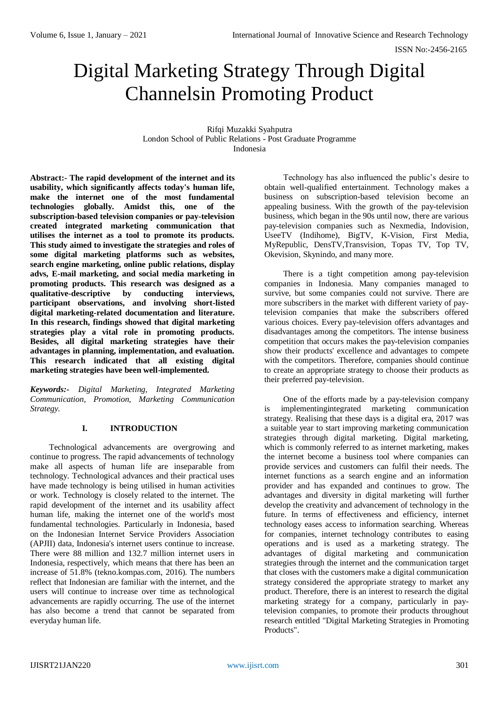# Digital Marketing Strategy Through Digital Channelsin Promoting Product

Rifqi Muzakki Syahputra London School of Public Relations - Post Graduate Programme Indonesia

**Abstract:- The rapid development of the internet and its usability, which significantly affects today's human life, make the internet one of the most fundamental technologies globally. Amidst this, one of the subscription-based television companies or pay-television created integrated marketing communication that utilises the internet as a tool to promote its products. This study aimed to investigate the strategies and roles of some digital marketing platforms such as websites, search engine marketing, online public relations, display advs, E-mail marketing, and social media marketing in promoting products. This research was designed as a qualitative-descriptive by conducting interviews, participant observations, and involving short-listed digital marketing-related documentation and literature. In this research, findings showed that digital marketing strategies play a vital role in promoting products. Besides, all digital marketing strategies have their advantages in planning, implementation, and evaluation. This research indicated that all existing digital marketing strategies have been well-implemented.**

*Keywords:- Digital Marketing, Integrated Marketing Communication, Promotion, Marketing Communication Strategy.*

# **I. INTRODUCTION**

Technological advancements are overgrowing and continue to progress. The rapid advancements of technology make all aspects of human life are inseparable from technology. Technological advances and their practical uses have made technology is being utilised in human activities or work. Technology is closely related to the internet. The rapid development of the internet and its usability affect human life, making the internet one of the world's most fundamental technologies. Particularly in Indonesia, based on the Indonesian Internet Service Providers Association (APJII) data, Indonesia's internet users continue to increase. There were 88 million and 132.7 million internet users in Indonesia, respectively, which means that there has been an increase of 51.8% (tekno.kompas.com, 2016). The numbers reflect that Indonesian are familiar with the internet, and the users will continue to increase over time as technological advancements are rapidly occurring. The use of the internet has also become a trend that cannot be separated from everyday human life.

Technology has also influenced the public's desire to obtain well-qualified entertainment. Technology makes a business on subscription-based television become an appealing business. With the growth of the pay-television business, which began in the 90s until now, there are various pay-television companies such as Nexmedia, Indovision, UseeTV (Indihome), BigTV, K-Vision, First Media, MyRepublic, DensTV,Transvision, Topas TV, Top TV, Okevision, Skynindo, and many more.

There is a tight competition among pay-television companies in Indonesia. Many companies managed to survive, but some companies could not survive. There are more subscribers in the market with different variety of paytelevision companies that make the subscribers offered various choices. Every pay-television offers advantages and disadvantages among the competitors. The intense business competition that occurs makes the pay-television companies show their products' excellence and advantages to compete with the competitors. Therefore, companies should continue to create an appropriate strategy to choose their products as their preferred pay-television.

One of the efforts made by a pay-television company is implementingintegrated marketing communication strategy. Realising that these days is a digital era, 2017 was a suitable year to start improving marketing communication strategies through digital marketing. Digital marketing, which is commonly referred to as internet marketing, makes the internet become a business tool where companies can provide services and customers can fulfil their needs. The internet functions as a search engine and an information provider and has expanded and continues to grow. The advantages and diversity in digital marketing will further develop the creativity and advancement of technology in the future. In terms of effectiveness and efficiency, internet technology eases access to information searching. Whereas for companies, internet technology contributes to easing operations and is used as a marketing strategy. The advantages of digital marketing and communication strategies through the internet and the communication target that closes with the customers make a digital communication strategy considered the appropriate strategy to market any product. Therefore, there is an interest to research the digital marketing strategy for a company, particularly in paytelevision companies, to promote their products throughout research entitled "Digital Marketing Strategies in Promoting Products".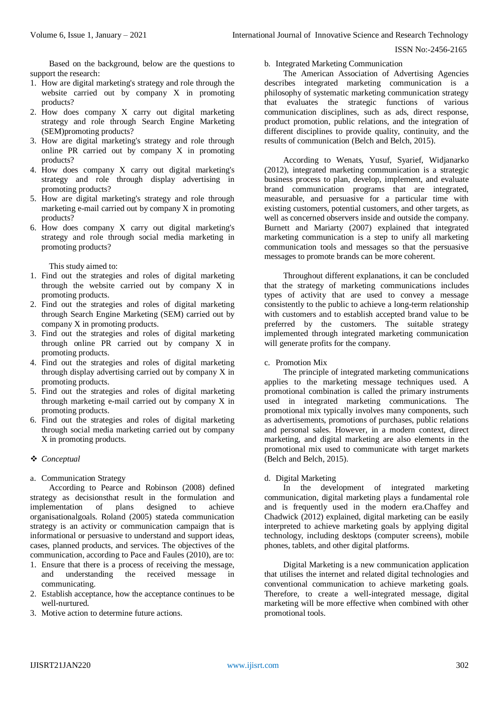Based on the background, below are the questions to support the research:

- 1. How are digital marketing's strategy and role through the website carried out by company X in promoting products?
- 2. How does company X carry out digital marketing strategy and role through Search Engine Marketing (SEM)promoting products?
- 3. How are digital marketing's strategy and role through online PR carried out by company X in promoting products?
- 4. How does company X carry out digital marketing's strategy and role through display advertising in promoting products?
- 5. How are digital marketing's strategy and role through marketing e-mail carried out by company X in promoting products?
- 6. How does company X carry out digital marketing's strategy and role through social media marketing in promoting products?

## This study aimed to:

- 1. Find out the strategies and roles of digital marketing through the website carried out by company X in promoting products.
- 2. Find out the strategies and roles of digital marketing through Search Engine Marketing (SEM) carried out by company X in promoting products.
- 3. Find out the strategies and roles of digital marketing through online PR carried out by company X in promoting products.
- 4. Find out the strategies and roles of digital marketing through display advertising carried out by company X in promoting products.
- 5. Find out the strategies and roles of digital marketing through marketing e-mail carried out by company X in promoting products.
- 6. Find out the strategies and roles of digital marketing through social media marketing carried out by company X in promoting products.

# *Conceptual*

a. Communication Strategy

According to Pearce and Robinson (2008) defined strategy as decisionsthat result in the formulation and implementation of plans designed to achieve organisationalgoals. Roland (2005) stateda communication strategy is an activity or communication campaign that is informational or persuasive to understand and support ideas, cases, planned products, and services. The objectives of the communication, according to Pace and Faules (2010), are to:

- 1. Ensure that there is a process of receiving the message, and understanding the received message communicating.
- 2. Establish acceptance, how the acceptance continues to be well-nurtured.
- 3. Motive action to determine future actions.

## b. Integrated Marketing Communication

The American Association of Advertising Agencies describes integrated marketing communication is a philosophy of systematic marketing communication strategy that evaluates the strategic functions of various communication disciplines, such as ads, direct response, product promotion, public relations, and the integration of different disciplines to provide quality, continuity, and the results of communication (Belch and Belch, 2015).

According to Wenats, Yusuf, Syarief, Widjanarko (2012), integrated marketing communication is a strategic business process to plan, develop, implement, and evaluate brand communication programs that are integrated, measurable, and persuasive for a particular time with existing customers, potential customers, and other targets, as well as concerned observers inside and outside the company. Burnett and Mariarty (2007) explained that integrated marketing communication is a step to unify all marketing communication tools and messages so that the persuasive messages to promote brands can be more coherent.

Throughout different explanations, it can be concluded that the strategy of marketing communications includes types of activity that are used to convey a message consistently to the public to achieve a long-term relationship with customers and to establish accepted brand value to be preferred by the customers. The suitable strategy implemented through integrated marketing communication will generate profits for the company.

## c. Promotion Mix

The principle of integrated marketing communications applies to the marketing message techniques used. A promotional combination is called the primary instruments used in integrated marketing communications. The promotional mix typically involves many components, such as advertisements, promotions of purchases, public relations and personal sales. However, in a modern context, direct marketing, and digital marketing are also elements in the promotional mix used to communicate with target markets (Belch and Belch, 2015).

# d. Digital Marketing

In the development of integrated marketing communication, digital marketing plays a fundamental role and is frequently used in the modern era.Chaffey and Chadwick (2012) explained, digital marketing can be easily interpreted to achieve marketing goals by applying digital technology, including desktops (computer screens), mobile phones, tablets, and other digital platforms.

Digital Marketing is a new communication application that utilises the internet and related digital technologies and conventional communication to achieve marketing goals. Therefore, to create a well-integrated message, digital marketing will be more effective when combined with other promotional tools.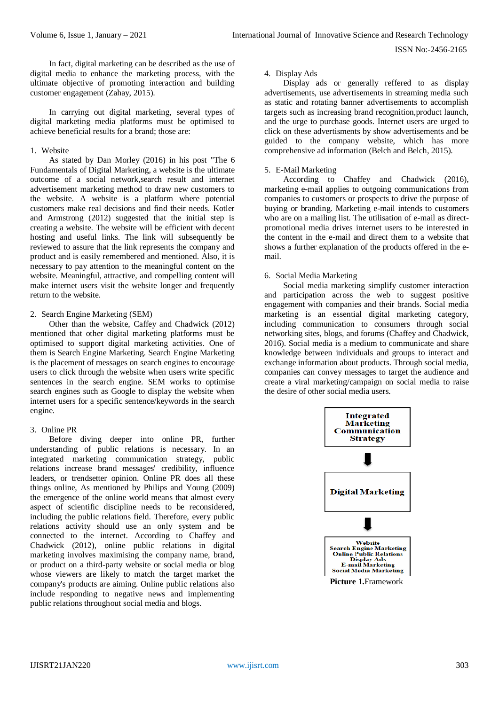In fact, digital marketing can be described as the use of digital media to enhance the marketing process, with the ultimate objective of promoting interaction and building customer engagement (Zahay, 2015).

In carrying out digital marketing, several types of digital marketing media platforms must be optimised to achieve beneficial results for a brand; those are:

# 1. Website

As stated by Dan Morley (2016) in his post "The 6 Fundamentals of Digital Marketing, a website is the ultimate outcome of a social network,search result and internet advertisement marketing method to draw new customers to the website. A website is a platform where potential customers make real decisions and find their needs. Kotler and Armstrong (2012) suggested that the initial step is creating a website. The website will be efficient with decent hosting and useful links. The link will subsequently be reviewed to assure that the link represents the company and product and is easily remembered and mentioned. Also, it is necessary to pay attention to the meaningful content on the website. Meaningful, attractive, and compelling content will make internet users visit the website longer and frequently return to the website.

## 2. Search Engine Marketing (SEM)

Other than the website, Caffey and Chadwick (2012) mentioned that other digital marketing platforms must be optimised to support digital marketing activities. One of them is Search Engine Marketing. Search Engine Marketing is the placement of messages on search engines to encourage users to click through the website when users write specific sentences in the search engine. SEM works to optimise search engines such as Google to display the website when internet users for a specific sentence/keywords in the search engine.

## 3. Online PR

Before diving deeper into online PR, further understanding of public relations is necessary. In an integrated marketing communication strategy, public relations increase brand messages' credibility, influence leaders, or trendsetter opinion. Online PR does all these things online, As mentioned by Philips and Young (2009) the emergence of the online world means that almost every aspect of scientific discipline needs to be reconsidered, including the public relations field. Therefore, every public relations activity should use an only system and be connected to the internet. According to Chaffey and Chadwick (2012), online public relations in digital marketing involves maximising the company name, brand, or product on a third-party website or social media or blog whose viewers are likely to match the target market the company's products are aiming. Online public relations also include responding to negative news and implementing public relations throughout social media and blogs.

## 4. Display Ads

Display ads or generally reffered to as display advertisements, use advertisements in streaming media such as static and rotating banner advertisements to accomplish targets such as increasing brand recognition,product launch, and the urge to purchase goods. Internet users are urged to click on these advertisments by show advertisements and be guided to the company website, which has more comprehensive ad information (Belch and Belch, 2015).

## 5. E-Mail Marketing

According to Chaffey and Chadwick (2016), marketing e-mail applies to outgoing communications from companies to customers or prospects to drive the purpose of buying or branding. Marketing e-mail intends to customers who are on a mailing list. The utilisation of e-mail as directpromotional media drives internet users to be interested in the content in the e-mail and direct them to a website that shows a further explanation of the products offered in the email.

# 6. Social Media Marketing

Social media marketing simplify customer interaction and participation across the web to suggest positive engagement with companies and their brands. Social media marketing is an essential digital marketing category, including communication to consumers through social networking sites, blogs, and forums (Chaffey and Chadwick, 2016). Social media is a medium to communicate and share knowledge between individuals and groups to interact and exchange information about products. Through social media, companies can convey messages to target the audience and create a viral marketing/campaign on social media to raise the desire of other social media users.

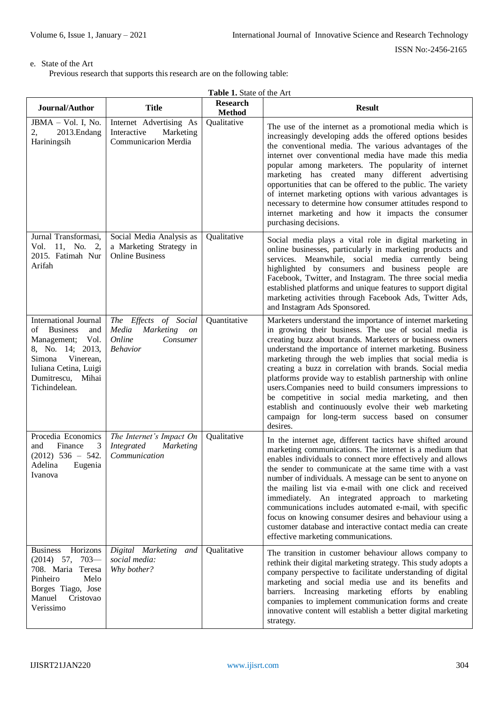# e. State of the Art

Previous research that supports this research are on the following table:

| Journal/Author                                                                                                                                                                                | <b>Title</b>                                                                                      | <b>Research</b><br><b>Method</b> | <b>Result</b>                                                                                                                                                                                                                                                                                                                                                                                                                                                                                                                                                                                                                                                             |
|-----------------------------------------------------------------------------------------------------------------------------------------------------------------------------------------------|---------------------------------------------------------------------------------------------------|----------------------------------|---------------------------------------------------------------------------------------------------------------------------------------------------------------------------------------------------------------------------------------------------------------------------------------------------------------------------------------------------------------------------------------------------------------------------------------------------------------------------------------------------------------------------------------------------------------------------------------------------------------------------------------------------------------------------|
| JBMA - Vol. I, No.<br>2013.Endang<br>2,<br>Hariningsih                                                                                                                                        | Internet Advertising As<br>Interactive<br>Marketing<br><b>Communicarion Merdia</b>                | Qualitative                      | The use of the internet as a promotional media which is<br>increasingly developing adds the offered options besides<br>the conventional media. The various advantages of the<br>internet over conventional media have made this media<br>popular among marketers. The popularity of internet<br>marketing has created many different advertising<br>opportunities that can be offered to the public. The variety<br>of internet marketing options with various advantages is<br>necessary to determine how consumer attitudes respond to<br>internet marketing and how it impacts the consumer<br>purchasing decisions.                                                   |
| Jurnal Transformasi,<br>Vol. 11, No.<br>2,<br>2015. Fatimah Nur<br>Arifah                                                                                                                     | Social Media Analysis as<br>a Marketing Strategy in<br><b>Online Business</b>                     | Qualitative                      | Social media plays a vital role in digital marketing in<br>online businesses, particularly in marketing products and<br>services. Meanwhile, social media currently being<br>highlighted by consumers and business people are<br>Facebook, Twitter, and Instagram. The three social media<br>established platforms and unique features to support digital<br>marketing activities through Facebook Ads, Twitter Ads,<br>and Instagram Ads Sponsored.                                                                                                                                                                                                                      |
| <b>International Journal</b><br>οf<br><b>Business</b><br>and<br>Vol.<br>Management;<br>8, No. 14; 2013,<br>Vinerean,<br>Simona<br>Iuliana Cetina, Luigi<br>Dumitrescu, Mihai<br>Tichindelean. | The Effects of Social<br>Media<br><b>Marketing</b><br>on<br>Online<br>Consumer<br><b>Behavior</b> | Quantitative                     | Marketers understand the importance of internet marketing<br>in growing their business. The use of social media is<br>creating buzz about brands. Marketers or business owners<br>understand the importance of internet marketing. Business<br>marketing through the web implies that social media is<br>creating a buzz in correlation with brands. Social media<br>platforms provide way to establish partnership with online<br>users. Companies need to build consumers impressions to<br>be competitive in social media marketing, and then<br>establish and continuously evolve their web marketing<br>campaign for long-term success based on consumer<br>desires. |
| Procedia Economics<br>Finance<br>and<br>3<br>$(2012)$ 536 - 542.<br>Adelina Eugenia<br>Ivanova                                                                                                | The Internet's Impact On<br>Integrated<br><b>Marketing</b><br>Communication                       | Qualitative                      | In the internet age, different tactics have shifted around<br>marketing communications. The internet is a medium that<br>enables individuals to connect more effectively and allows<br>the sender to communicate at the same time with a vast<br>number of individuals. A message can be sent to anyone on<br>the mailing list via e-mail with one click and received<br>immediately. An integrated approach to marketing<br>communications includes automated e-mail, with specific<br>focus on knowing consumer desires and behaviour using a<br>customer database and interactive contact media can create<br>effective marketing communications.                      |
| Horizons<br><b>Business</b><br>$703-$<br>$(2014)$ 57,<br>708. Maria Teresa<br>Pinheiro<br>Melo<br>Borges Tiago, Jose<br>Manuel<br>Cristovao<br>Verissimo                                      | Digital Marketing<br>and<br>social media:<br>Why bother?                                          | Qualitative                      | The transition in customer behaviour allows company to<br>rethink their digital marketing strategy. This study adopts a<br>company perspective to facilitate understanding of digital<br>marketing and social media use and its benefits and<br>barriers. Increasing marketing efforts by enabling<br>companies to implement communication forms and create<br>innovative content will establish a better digital marketing<br>strategy.                                                                                                                                                                                                                                  |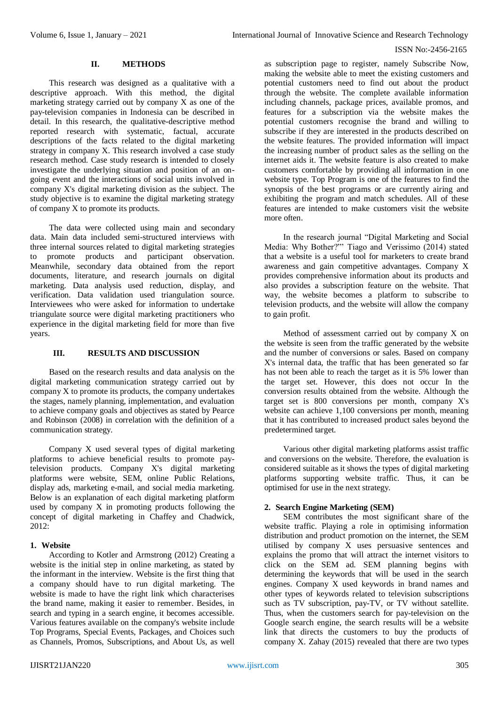## **II. METHODS**

This research was designed as a qualitative with a descriptive approach. With this method, the digital marketing strategy carried out by company X as one of the pay-television companies in Indonesia can be described in detail. In this research, the qualitative-descriptive method reported research with systematic, factual, accurate descriptions of the facts related to the digital marketing strategy in company X. This research involved a case study research method. Case study research is intended to closely investigate the underlying situation and position of an ongoing event and the interactions of social units involved in company X's digital marketing division as the subject. The study objective is to examine the digital marketing strategy of company X to promote its products.

The data were collected using main and secondary data. Main data included semi-structured interviews with three internal sources related to digital marketing strategies to promote products and participant observation. Meanwhile, secondary data obtained from the report documents, literature, and research journals on digital marketing. Data analysis used reduction, display, and verification. Data validation used triangulation source. Interviewees who were asked for information to undertake triangulate source were digital marketing practitioners who experience in the digital marketing field for more than five years.

# **III. RESULTS AND DISCUSSION**

Based on the research results and data analysis on the digital marketing communication strategy carried out by company X to promote its products, the company undertakes the stages, namely planning, implementation, and evaluation to achieve company goals and objectives as stated by Pearce and Robinson (2008) in correlation with the definition of a communication strategy.

Company X used several types of digital marketing platforms to achieve beneficial results to promote paytelevision products. Company X's digital marketing platforms were website, SEM, online Public Relations, display ads, marketing e-mail, and social media marketing. Below is an explanation of each digital marketing platform used by company X in promoting products following the concept of digital marketing in Chaffey and Chadwick, 2012:

## **1. Website**

According to Kotler and Armstrong (2012) Creating a website is the initial step in online marketing, as stated by the informant in the interview. Website is the first thing that a company should have to run digital marketing. The website is made to have the right link which characterises the brand name, making it easier to remember. Besides, in search and typing in a search engine, it becomes accessible. Various features available on the company's website include Top Programs, Special Events, Packages, and Choices such as Channels, Promos, Subscriptions, and About Us, as well as subscription page to register, namely Subscribe Now, making the website able to meet the existing customers and potential customers need to find out about the product through the website. The complete available information including channels, package prices, available promos, and features for a subscription via the website makes the potential customers recognise the brand and willing to subscribe if they are interested in the products described on the website features. The provided information will impact the increasing number of product sales as the selling on the internet aids it. The website feature is also created to make customers comfortable by providing all information in one website type. Top Program is one of the features to find the synopsis of the best programs or are currently airing and exhibiting the program and match schedules. All of these features are intended to make customers visit the website more often.

In the research journal "Digital Marketing and Social Media: Why Bother?"' Tiago and Verissimo (2014) stated that a website is a useful tool for marketers to create brand awareness and gain competitive advantages. Company X provides comprehensive information about its products and also provides a subscription feature on the website. That way, the website becomes a platform to subscribe to television products, and the website will allow the company to gain profit.

Method of assessment carried out by company X on the website is seen from the traffic generated by the website and the number of conversions or sales. Based on company X's internal data, the traffic that has been generated so far has not been able to reach the target as it is 5% lower than the target set. However, this does not occur In the conversion results obtained from the website. Although the target set is 800 conversions per month, company X's website can achieve 1,100 conversions per month, meaning that it has contributed to increased product sales beyond the predetermined target.

Various other digital marketing platforms assist traffic and conversions on the website. Therefore, the evaluation is considered suitable as it shows the types of digital marketing platforms supporting website traffic. Thus, it can be optimised for use in the next strategy.

# **2. Search Engine Marketing (SEM)**

SEM contributes the most significant share of the website traffic. Playing a role in optimising information distribution and product promotion on the internet, the SEM utilised by company  $\bar{X}$  uses persuasive sentences and explains the promo that will attract the internet visitors to click on the SEM ad. SEM planning begins with determining the keywords that will be used in the search engines. Company X used keywords in brand names and other types of keywords related to television subscriptions such as TV subscription, pay-TV, or TV without satellite. Thus, when the customers search for pay-television on the Google search engine, the search results will be a website link that directs the customers to buy the products of company X. Zahay (2015) revealed that there are two types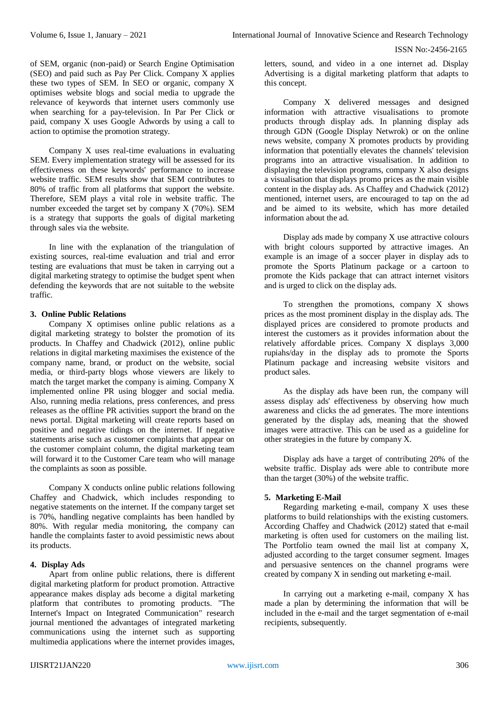of SEM, organic (non-paid) or Search Engine Optimisation (SEO) and paid such as Pay Per Click. Company X applies these two types of SEM. In SEO or organic, company X optimises website blogs and social media to upgrade the relevance of keywords that internet users commonly use when searching for a pay-television. In Par Per Click or paid, company X uses Google Adwords by using a call to action to optimise the promotion strategy.

Company X uses real-time evaluations in evaluating SEM. Every implementation strategy will be assessed for its effectiveness on these keywords' performance to increase website traffic. SEM results show that SEM contributes to 80% of traffic from all platforms that support the website. Therefore, SEM plays a vital role in website traffic. The number exceeded the target set by company X (70%). SEM is a strategy that supports the goals of digital marketing through sales via the website.

In line with the explanation of the triangulation of existing sources, real-time evaluation and trial and error testing are evaluations that must be taken in carrying out a digital marketing strategy to optimise the budget spent when defending the keywords that are not suitable to the website traffic.

## **3. Online Public Relations**

Company X optimises online public relations as a digital marketing strategy to bolster the promotion of its products. In Chaffey and Chadwick (2012), online public relations in digital marketing maximises the existence of the company name, brand, or product on the website, social media, or third-party blogs whose viewers are likely to match the target market the company is aiming. Company X implemented online PR using blogger and social media. Also, running media relations, press conferences, and press releases as the offline PR activities support the brand on the news portal. Digital marketing will create reports based on positive and negative tidings on the internet. If negative statements arise such as customer complaints that appear on the customer complaint column, the digital marketing team will forward it to the Customer Care team who will manage the complaints as soon as possible.

Company X conducts online public relations following Chaffey and Chadwick, which includes responding to negative statements on the internet. If the company target set is 70%, handling negative complaints has been handled by 80%. With regular media monitoring, the company can handle the complaints faster to avoid pessimistic news about its products.

# **4. Display Ads**

Apart from online public relations, there is different digital marketing platform for product promotion. Attractive appearance makes display ads become a digital marketing platform that contributes to promoting products. "The Internet's Impact on Integrated Communication" research journal mentioned the advantages of integrated marketing communications using the internet such as supporting multimedia applications where the internet provides images,

letters, sound, and video in a one internet ad. Display Advertising is a digital marketing platform that adapts to this concept.

Company X delivered messages and designed information with attractive visualisations to promote products through display ads. In planning display ads through GDN (Google Display Netwrok) or on the online news website, company X promotes products by providing information that potentially elevates the channels' television programs into an attractive visualisation. In addition to displaying the television programs, company X also designs a visualisation that displays promo prices as the main visible content in the display ads. As Chaffey and Chadwick (2012) mentioned, internet users, are encouraged to tap on the ad and be aimed to its website, which has more detailed information about the ad.

Display ads made by company X use attractive colours with bright colours supported by attractive images. An example is an image of a soccer player in display ads to promote the Sports Platinum package or a cartoon to promote the Kids package that can attract internet visitors and is urged to click on the display ads.

To strengthen the promotions, company X shows prices as the most prominent display in the display ads. The displayed prices are considered to promote products and interest the customers as it provides information about the relatively affordable prices. Company X displays 3,000 rupiahs/day in the display ads to promote the Sports Platinum package and increasing website visitors and product sales.

As the display ads have been run, the company will assess display ads' effectiveness by observing how much awareness and clicks the ad generates. The more intentions generated by the display ads, meaning that the showed images were attractive. This can be used as a guideline for other strategies in the future by company X.

Display ads have a target of contributing 20% of the website traffic. Display ads were able to contribute more than the target (30%) of the website traffic.

## **5. Marketing E-Mail**

Regarding marketing e-mail, company X uses these platforms to build relationships with the existing customers. According Chaffey and Chadwick (2012) stated that e-mail marketing is often used for customers on the mailing list. The Portfolio team owned the mail list at company X, adjusted according to the target consumer segment. Images and persuasive sentences on the channel programs were created by company X in sending out marketing e-mail.

In carrying out a marketing e-mail, company X has made a plan by determining the information that will be included in the e-mail and the target segmentation of e-mail recipients, subsequently.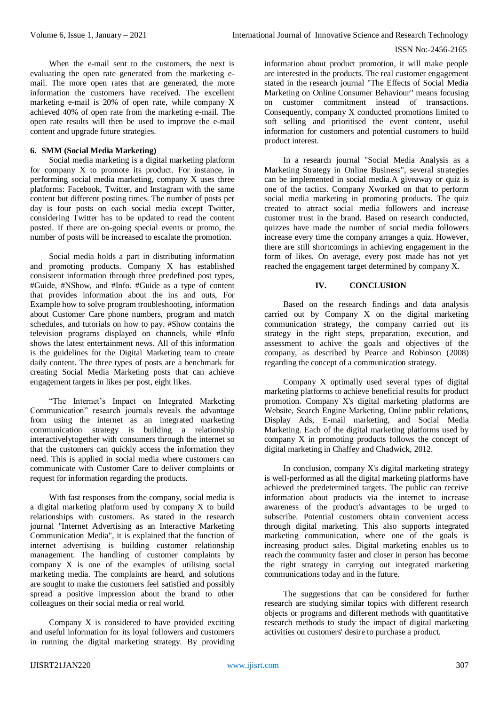When the e-mail sent to the customers, the next is evaluating the open rate generated from the marketing email. The more open rates that are generated, the more information the customers have received. The excellent marketing e-mail is 20% of open rate, while company X achieved 40% of open rate from the marketing e-mail. The open rate results will then be used to improve the e-mail content and upgrade future strategies.

# **6. SMM (Social Media Marketing)**

Social media marketing is a digital marketing platform for company X to promote its product. For instance, in performing social media marketing, company X uses three platforms: Facebook, Twitter, and Instagram with the same content but different posting times. The number of posts per day is four posts on each social media except Twitter, considering Twitter has to be updated to read the content posted. If there are on-going special events or promo, the number of posts will be increased to escalate the promotion.

Social media holds a part in distributing information and promoting products. Company X has established consistent information through three predefined post types, #Guide, #NShow, and #Info. #Guide as a type of content that provides information about the ins and outs, For Example how to solve program troubleshooting, information about Customer Care phone numbers, program and match schedules, and tutorials on how to pay. #Show contains the television programs displayed on channels, while #Info shows the latest entertainment news. All of this information is the guidelines for the Digital Marketing team to create daily content. The three types of posts are a benchmark for creating Social Media Marketing posts that can achieve engagement targets in likes per post, eight likes.

"The Internet's Impact on Integrated Marketing Communication" research journals reveals the advantage from using the internet as an integrated marketing communication strategy is building a relationship interactivelytogether with consumers through the internet so that the customers can quickly access the information they need. This is applied in social media where customers can communicate with Customer Care to deliver complaints or request for information regarding the products.

With fast responses from the company, social media is a digital marketing platform used by company X to build relationships with customers. As stated in the research journal "Internet Advertising as an Interactive Marketing Communication Media", it is explained that the function of internet advertising is building customer relationship management. The handling of customer complaints by company X is one of the examples of utilising social marketing media. The complaints are heard, and solutions are sought to make the customers feel satisfied and possibly spread a positive impression about the brand to other colleagues on their social media or real world.

Company X is considered to have provided exciting and useful information for its loyal followers and customers in running the digital marketing strategy. By providing

information about product promotion, it will make people are interested in the products. The real customer engagement stated in the research journal "The Effects of Social Media Marketing on Online Consumer Behaviour" means focusing on customer commitment instead of transactions. Consequently, company X conducted promotions limited to soft selling and prioritised the event content, useful information for customers and potential customers to build product interest.

In a research journal "Social Media Analysis as a Marketing Strategy in Online Business", several strategies can be implemented in social media.A giveaway or quiz is one of the tactics. Company Xworked on that to perform social media marketing in promoting products. The quiz created to attract social media followers and increase customer trust in the brand. Based on research conducted, quizzes have made the number of social media followers increase every time the company arranges a quiz. However, there are still shortcomings in achieving engagement in the form of likes. On average, every post made has not yet reached the engagement target determined by company X.

# **IV. CONCLUSION**

Based on the research findings and data analysis carried out by Company X on the digital marketing communication strategy, the company carried out its strategy in the right steps, preparation, execution, and assessment to achive the goals and objectives of the company, as described by Pearce and Robinson (2008) regarding the concept of a communication strategy.

Company X optimally used several types of digital marketing platforms to achieve beneficial results for product promotion. Company X's digital marketing platforms are Website, Search Engine Marketing, Online public relations, Display Ads, E-mail marketing, and Social Media Marketing. Each of the digital marketing platforms used by company X in promoting products follows the concept of digital marketing in Chaffey and Chadwick, 2012.

In conclusion, company X's digital marketing strategy is well-performed as all the digital marketing platforms have achieved the predetermined targets. The public can receive information about products via the internet to increase awareness of the product's advantages to be urged to subscribe. Potential customers obtain convenient access through digital marketing. This also supports integrated marketing communication, where one of the goals is increasing product sales. Digital marketing enables us to reach the community faster and closer in person has become the right strategy in carrying out integrated marketing communications today and in the future.

The suggestions that can be considered for further research are studying similar topics with different research objects or programs and different methods with quantitative research methods to study the impact of digital marketing activities on customers' desire to purchase a product.